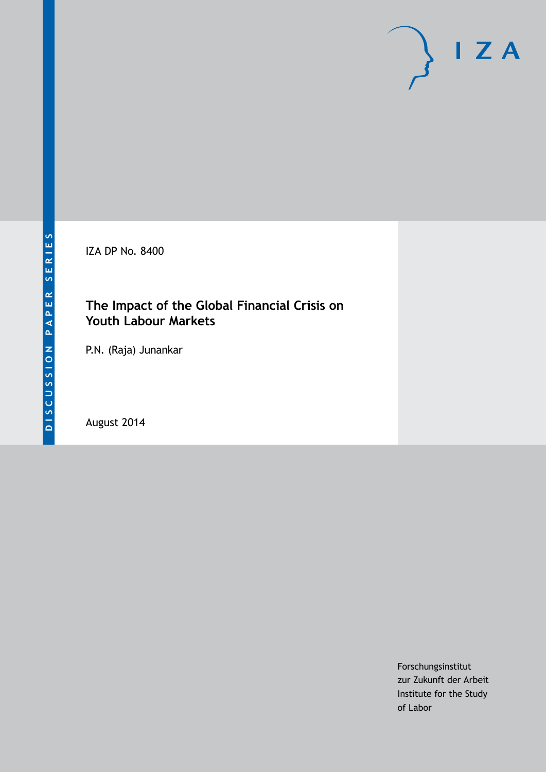IZA DP No. 8400

# **The Impact of the Global Financial Crisis on Youth Labour Markets**

P.N. (Raja) Junankar

August 2014

Forschungsinstitut zur Zukunft der Arbeit Institute for the Study of Labor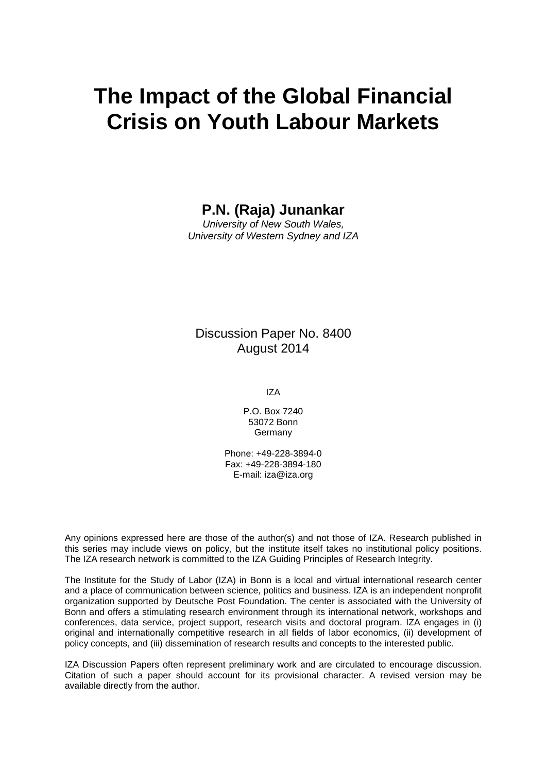# **The Impact of the Global Financial Crisis on Youth Labour Markets**

**P.N. (Raja) Junankar**

*University of New South Wales, University of Western Sydney and IZA*

## Discussion Paper No. 8400 August 2014

IZA

P.O. Box 7240 53072 Bonn Germany

Phone: +49-228-3894-0 Fax: +49-228-3894-180 E-mail: [iza@iza.org](mailto:iza@iza.org)

Any opinions expressed here are those of the author(s) and not those of IZA. Research published in this series may include views on policy, but the institute itself takes no institutional policy positions. The IZA research network is committed to the IZA Guiding Principles of Research Integrity.

The Institute for the Study of Labor (IZA) in Bonn is a local and virtual international research center and a place of communication between science, politics and business. IZA is an independent nonprofit organization supported by Deutsche Post Foundation. The center is associated with the University of Bonn and offers a stimulating research environment through its international network, workshops and conferences, data service, project support, research visits and doctoral program. IZA engages in (i) original and internationally competitive research in all fields of labor economics, (ii) development of policy concepts, and (iii) dissemination of research results and concepts to the interested public.

IZA Discussion Papers often represent preliminary work and are circulated to encourage discussion. Citation of such a paper should account for its provisional character. A revised version may be available directly from the author.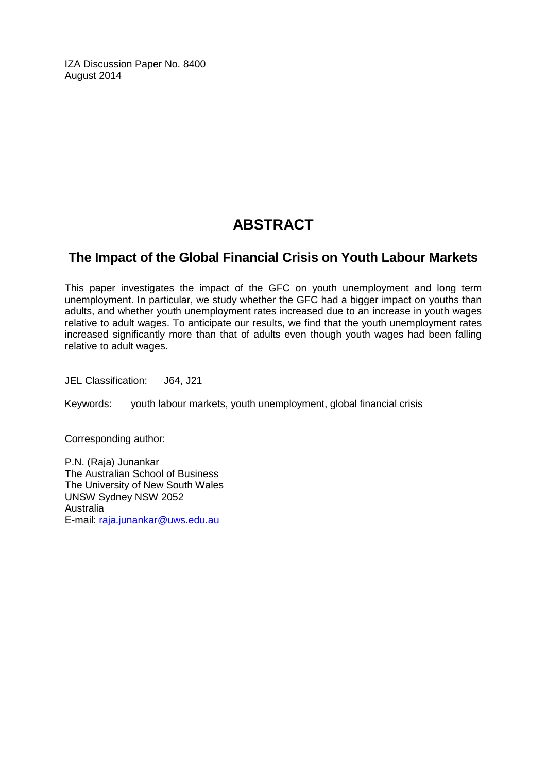IZA Discussion Paper No. 8400 August 2014

# **ABSTRACT**

## **The Impact of the Global Financial Crisis on Youth Labour Markets**

This paper investigates the impact of the GFC on youth unemployment and long term unemployment. In particular, we study whether the GFC had a bigger impact on youths than adults, and whether youth unemployment rates increased due to an increase in youth wages relative to adult wages. To anticipate our results, we find that the youth unemployment rates increased significantly more than that of adults even though youth wages had been falling relative to adult wages.

JEL Classification: J64, J21

Keywords: youth labour markets, youth unemployment, global financial crisis

Corresponding author:

P.N. (Raja) Junankar The Australian School of Business The University of New South Wales UNSW Sydney NSW 2052 **Australia** E-mail: [raja.junankar@uws.edu.au](mailto:raja.junankar@uws.edu.au)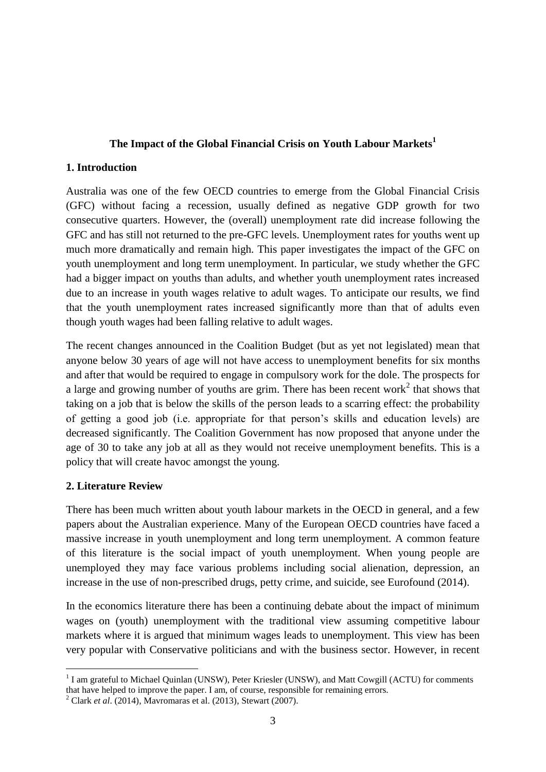#### **The Impact of the Global Financial Crisis on Youth Labour Markets<sup>1</sup>**

#### **1. Introduction**

Australia was one of the few OECD countries to emerge from the Global Financial Crisis (GFC) without facing a recession, usually defined as negative GDP growth for two consecutive quarters. However, the (overall) unemployment rate did increase following the GFC and has still not returned to the pre-GFC levels. Unemployment rates for youths went up much more dramatically and remain high. This paper investigates the impact of the GFC on youth unemployment and long term unemployment. In particular, we study whether the GFC had a bigger impact on youths than adults, and whether youth unemployment rates increased due to an increase in youth wages relative to adult wages. To anticipate our results, we find that the youth unemployment rates increased significantly more than that of adults even though youth wages had been falling relative to adult wages.

The recent changes announced in the Coalition Budget (but as yet not legislated) mean that anyone below 30 years of age will not have access to unemployment benefits for six months and after that would be required to engage in compulsory work for the dole. The prospects for a large and growing number of youths are grim. There has been recent work<sup>2</sup> that shows that taking on a job that is below the skills of the person leads to a scarring effect: the probability of getting a good job (i.e. appropriate for that person's skills and education levels) are decreased significantly. The Coalition Government has now proposed that anyone under the age of 30 to take any job at all as they would not receive unemployment benefits. This is a policy that will create havoc amongst the young.

#### **2. Literature Review**

<u>.</u>

There has been much written about youth labour markets in the OECD in general, and a few papers about the Australian experience. Many of the European OECD countries have faced a massive increase in youth unemployment and long term unemployment. A common feature of this literature is the social impact of youth unemployment. When young people are unemployed they may face various problems including social alienation, depression, an increase in the use of non-prescribed drugs, petty crime, and suicide, see Eurofound (2014).

In the economics literature there has been a continuing debate about the impact of minimum wages on (youth) unemployment with the traditional view assuming competitive labour markets where it is argued that minimum wages leads to unemployment. This view has been very popular with Conservative politicians and with the business sector. However, in recent

<sup>&</sup>lt;sup>1</sup> I am grateful to Michael Quinlan (UNSW), Peter Kriesler (UNSW), and Matt Cowgill (ACTU) for comments that have helped to improve the paper. I am, of course, responsible for remaining errors.

<sup>2</sup> Clark *et al*. (2014), Mavromaras et al. (2013), Stewart (2007).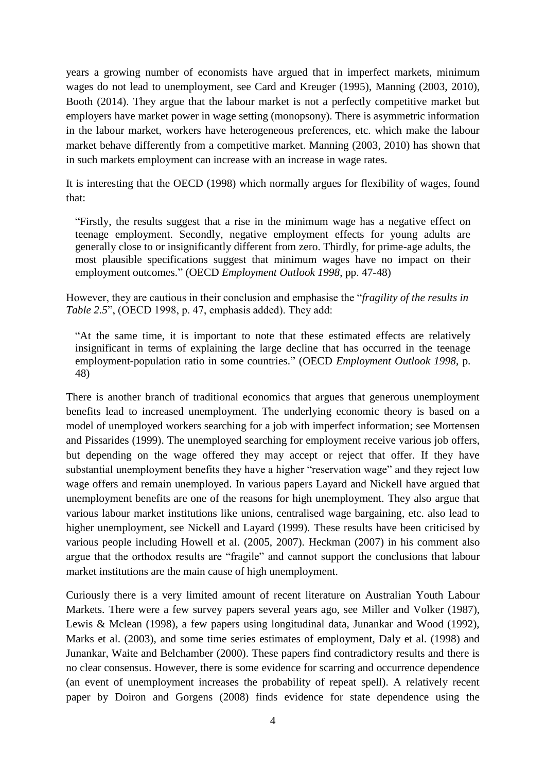years a growing number of economists have argued that in imperfect markets, minimum wages do not lead to unemployment, see Card and Kreuger (1995), Manning (2003, 2010), Booth (2014). They argue that the labour market is not a perfectly competitive market but employers have market power in wage setting (monopsony). There is asymmetric information in the labour market, workers have heterogeneous preferences, etc. which make the labour market behave differently from a competitive market. Manning (2003, 2010) has shown that in such markets employment can increase with an increase in wage rates.

It is interesting that the OECD (1998) which normally argues for flexibility of wages, found that:

"Firstly, the results suggest that a rise in the minimum wage has a negative effect on teenage employment. Secondly, negative employment effects for young adults are generally close to or insignificantly different from zero. Thirdly, for prime-age adults, the most plausible specifications suggest that minimum wages have no impact on their employment outcomes." (OECD *Employment Outlook 1998*, pp. 47-48)

However, they are cautious in their conclusion and emphasise the "*fragility of the results in Table 2.5*", (OECD 1998, p. 47, emphasis added). They add:

"At the same time, it is important to note that these estimated effects are relatively insignificant in terms of explaining the large decline that has occurred in the teenage employment-population ratio in some countries." (OECD *Employment Outlook 1998*, p. 48)

There is another branch of traditional economics that argues that generous unemployment benefits lead to increased unemployment. The underlying economic theory is based on a model of unemployed workers searching for a job with imperfect information; see Mortensen and Pissarides (1999). The unemployed searching for employment receive various job offers, but depending on the wage offered they may accept or reject that offer. If they have substantial unemployment benefits they have a higher "reservation wage" and they reject low wage offers and remain unemployed. In various papers Layard and Nickell have argued that unemployment benefits are one of the reasons for high unemployment. They also argue that various labour market institutions like unions, centralised wage bargaining, etc. also lead to higher unemployment, see Nickell and Layard (1999). These results have been criticised by various people including Howell et al. (2005, 2007). Heckman (2007) in his comment also argue that the orthodox results are "fragile" and cannot support the conclusions that labour market institutions are the main cause of high unemployment.

Curiously there is a very limited amount of recent literature on Australian Youth Labour Markets. There were a few survey papers several years ago, see Miller and Volker (1987), Lewis & Mclean (1998), a few papers using longitudinal data, Junankar and Wood (1992), Marks et al. (2003), and some time series estimates of employment, Daly et al. (1998) and Junankar, Waite and Belchamber (2000). These papers find contradictory results and there is no clear consensus. However, there is some evidence for scarring and occurrence dependence (an event of unemployment increases the probability of repeat spell). A relatively recent paper by Doiron and Gorgens (2008) finds evidence for state dependence using the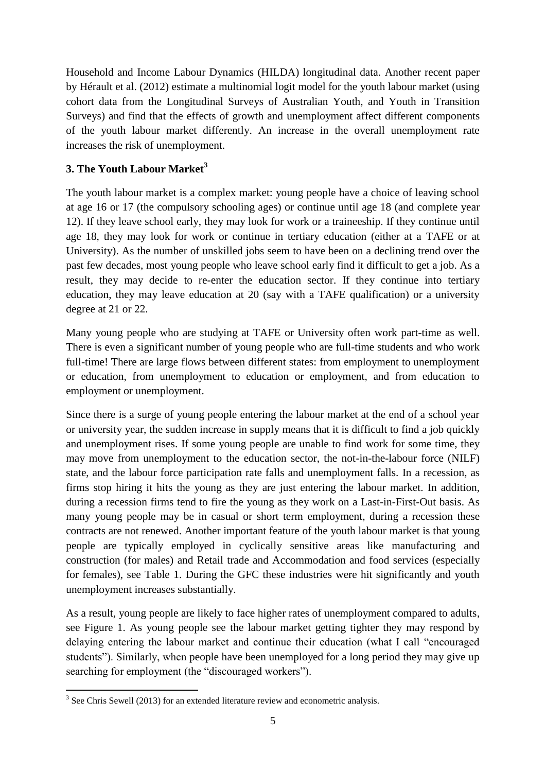Household and Income Labour Dynamics (HILDA) longitudinal data. Another recent paper by Hérault et al. (2012) estimate a multinomial logit model for the youth labour market (using cohort data from the Longitudinal Surveys of Australian Youth, and Youth in Transition Surveys) and find that the effects of growth and unemployment affect different components of the youth labour market differently. An increase in the overall unemployment rate increases the risk of unemployment.

### **3. The Youth Labour Market<sup>3</sup>**

The youth labour market is a complex market: young people have a choice of leaving school at age 16 or 17 (the compulsory schooling ages) or continue until age 18 (and complete year 12). If they leave school early, they may look for work or a traineeship. If they continue until age 18, they may look for work or continue in tertiary education (either at a TAFE or at University). As the number of unskilled jobs seem to have been on a declining trend over the past few decades, most young people who leave school early find it difficult to get a job. As a result, they may decide to re-enter the education sector. If they continue into tertiary education, they may leave education at 20 (say with a TAFE qualification) or a university degree at 21 or 22.

Many young people who are studying at TAFE or University often work part-time as well. There is even a significant number of young people who are full-time students and who work full-time! There are large flows between different states: from employment to unemployment or education, from unemployment to education or employment, and from education to employment or unemployment.

Since there is a surge of young people entering the labour market at the end of a school year or university year, the sudden increase in supply means that it is difficult to find a job quickly and unemployment rises. If some young people are unable to find work for some time, they may move from unemployment to the education sector, the not-in-the-labour force (NILF) state, and the labour force participation rate falls and unemployment falls. In a recession, as firms stop hiring it hits the young as they are just entering the labour market. In addition, during a recession firms tend to fire the young as they work on a Last-in-First-Out basis. As many young people may be in casual or short term employment, during a recession these contracts are not renewed. Another important feature of the youth labour market is that young people are typically employed in cyclically sensitive areas like manufacturing and construction (for males) and Retail trade and Accommodation and food services (especially for females), see Table 1. During the GFC these industries were hit significantly and youth unemployment increases substantially.

As a result, young people are likely to face higher rates of unemployment compared to adults, see Figure 1. As young people see the labour market getting tighter they may respond by delaying entering the labour market and continue their education (what I call "encouraged students"). Similarly, when people have been unemployed for a long period they may give up searching for employment (the "discouraged workers").

<sup>&</sup>lt;sup>3</sup> See Chris Sewell (2013) for an extended literature review and econometric analysis.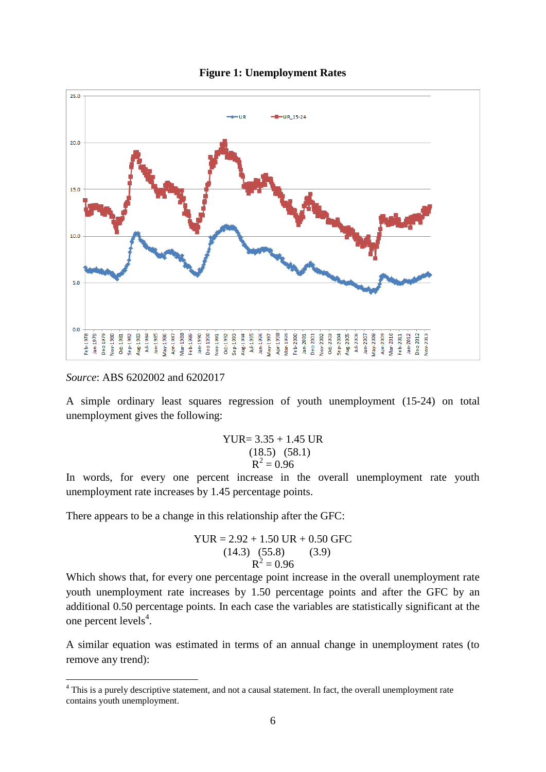



*Source*: ABS 6202002 and 6202017

1

A simple ordinary least squares regression of youth unemployment (15-24) on total unemployment gives the following:

YUR = 
$$
3.35 + 1.45
$$
 UR  
(18.5) (58.1)  
R<sup>2</sup> = 0.96

In words, for every one percent increase in the overall unemployment rate youth unemployment rate increases by 1.45 percentage points.

There appears to be a change in this relationship after the GFC:

YUR = 2.92 + 1.50 UR + 0.50 GFC (14.3) (55.8) (3.9) R 2 = 0.96

Which shows that, for every one percentage point increase in the overall unemployment rate youth unemployment rate increases by 1.50 percentage points and after the GFC by an additional 0.50 percentage points. In each case the variables are statistically significant at the one percent levels $4$ .

A similar equation was estimated in terms of an annual change in unemployment rates (to remove any trend):

<sup>&</sup>lt;sup>4</sup> This is a purely descriptive statement, and not a causal statement. In fact, the overall unemployment rate contains youth unemployment.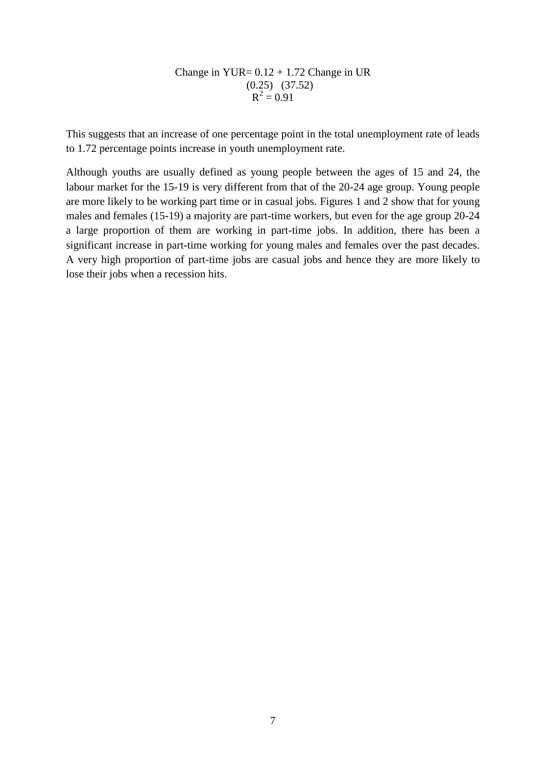Change in YUR=  $0.12 + 1.72$  Change in UR  $(0.25)$   $(37.52)$  $R^2 = 0.91$ 

This suggests that an increase of one percentage point in the total unemployment rate of leads to 1.72 percentage points increase in youth unemployment rate.

Although youths are usually defined as young people between the ages of 15 and 24, the labour market for the 15-19 is very different from that of the 20-24 age group. Young people are more likely to be working part time or in casual jobs. Figures 1 and 2 show that for young males and females (15-19) a majority are part-time workers, but even for the age group 20-24 a large proportion of them are working in part-time jobs. In addition, there has been a significant increase in part-time working for young males and females over the past decades. A very high proportion of part-time jobs are casual jobs and hence they are more likely to lose their jobs when a recession hits.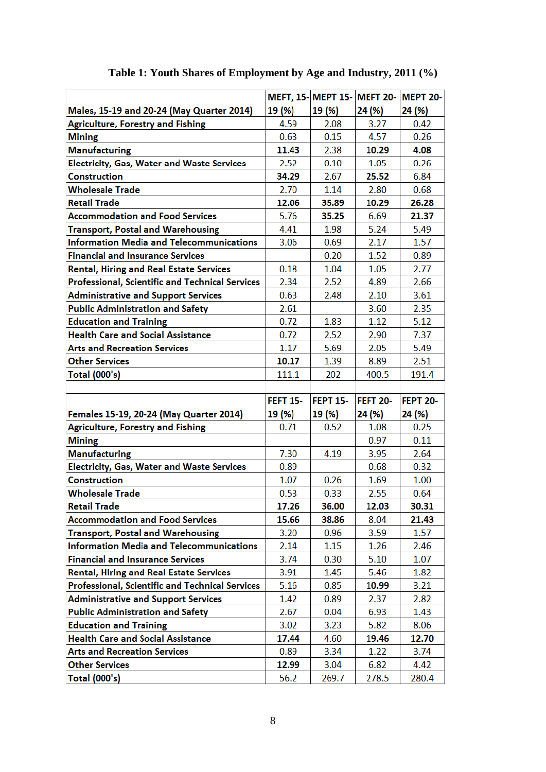|                                                   |                 | MEFT, 15-MEPT 15-MEFT 20- |                 | <b>MEPT 20-</b> |
|---------------------------------------------------|-----------------|---------------------------|-----------------|-----------------|
| Males, 15-19 and 20-24 (May Quarter 2014)         | 19 (%)          | 19 (%)                    | 24 (%)          | 24 (%)          |
| <b>Agriculture, Forestry and Fishing</b>          | 4.59            | 2.08                      | 3.27            | 0.42            |
| <b>Mining</b>                                     | 0.63            | 0.15                      | 4.57            | 0.26            |
| <b>Manufacturing</b>                              | 11.43           | 2.38                      | 10.29           | 4.08            |
| <b>Electricity, Gas, Water and Waste Services</b> | 2.52            | 0.10                      | 1.05            | 0.26            |
| <b>Construction</b>                               | 34.29           | 2.67                      | 25.52           | 6.84            |
| <b>Wholesale Trade</b>                            | 2.70            | 1.14                      | 2.80            | 0.68            |
| <b>Retail Trade</b>                               | 12.06           | 35.89                     | 10.29           | 26.28           |
| <b>Accommodation and Food Services</b>            | 5.76            | 35.25                     | 6.69            | 21.37           |
| <b>Transport, Postal and Warehousing</b>          | 4.41            | 1.98                      | 5.24            | 5.49            |
| <b>Information Media and Telecommunications</b>   | 3.06            | 0.69                      | 2.17            | 1.57            |
| <b>Financial and Insurance Services</b>           |                 | 0.20                      | 1.52            | 0.89            |
| <b>Rental, Hiring and Real Estate Services</b>    | 0.18            | 1.04                      | 1.05            | 2.77            |
| Professional, Scientific and Technical Services   | 2.34            | 2.52                      | 4.89            | 2.66            |
| <b>Administrative and Support Services</b>        | 0.63            | 2.48                      | 2.10            | 3.61            |
| <b>Public Administration and Safety</b>           | 2.61            |                           | 3.60            | 2.35            |
| <b>Education and Training</b>                     | 0.72            | 1.83                      | 1.12            | 5.12            |
| <b>Health Care and Social Assistance</b>          | 0.72            | 2.52                      | 2.90            | 7.37            |
| <b>Arts and Recreation Services</b>               | 1.17            | 5.69                      | 2.05            | 5.49            |
| <b>Other Services</b>                             | 10.17           | 1.39                      | 8.89            | 2.51            |
| <b>Total (000's)</b>                              | 111.1           | 202                       | 400.5           | 191.4           |
|                                                   |                 |                           |                 |                 |
|                                                   |                 |                           |                 |                 |
|                                                   | <b>FEFT 15-</b> | <b>FEPT 15-</b>           | <b>FEFT 20-</b> | FEPT 20-        |
| Females 15-19, 20-24 (May Quarter 2014)           | 19 (%)          | 19 (%)                    | 24 (%)          | 24 (%)          |
| <b>Agriculture, Forestry and Fishing</b>          | 0.71            | 0.52                      | 1.08            | 0.25            |
| <b>Mining</b>                                     |                 |                           | 0.97            | 0.11            |
| <b>Manufacturing</b>                              | 7.30            | 4.19                      | 3.95            | 2.64            |
| <b>Electricity, Gas, Water and Waste Services</b> | 0.89            |                           | 0.68            | 0.32            |
| <b>Construction</b>                               | 1.07            | 0.26                      | 1.69            | 1.00            |
| <b>Wholesale Trade</b>                            | 0.53            | 0.33                      | 2.55            | 0.64            |
| <b>Retail Trade</b>                               | 17.26           | 36.00                     | 12.03           | 30.31           |
| <b>Accommodation and Food Services</b>            | 15.66           | 38.86                     | 8.04            | 21.43           |
| <b>Transport, Postal and Warehousing</b>          | 3.20            | 0.96                      | 3.59            | 1.57            |
| <b>Information Media and Telecommunications</b>   | 2.14            | 1.15                      | 1.26            | 2.46            |
| <b>Financial and Insurance Services</b>           | 3.74            | 0.30                      | 5.10            | 1.07            |
| <b>Rental, Hiring and Real Estate Services</b>    | 3.91            | 1.45                      | 5.46            | 1.82            |
| Professional, Scientific and Technical Services   | 5.16            | 0.85                      | 10.99           | 3.21            |
| <b>Administrative and Support Services</b>        | 1.42            | 0.89                      | 2.37            | 2.82            |
| <b>Public Administration and Safety</b>           | 2.67            | 0.04                      | 6.93            | 1.43            |
| <b>Education and Training</b>                     | 3.02            | 3.23                      | 5.82            | 8.06            |
| <b>Health Care and Social Assistance</b>          | 17.44           | 4.60                      | 19.46           | 12.70           |
| <b>Arts and Recreation Services</b>               | 0.89            | 3.34                      | 1.22            | 3.74            |
| <b>Other Services</b>                             | 12.99           | 3.04                      | 6.82            | 4.42            |

# **Table 1: Youth Shares of Employment by Age and Industry, 2011 (%)**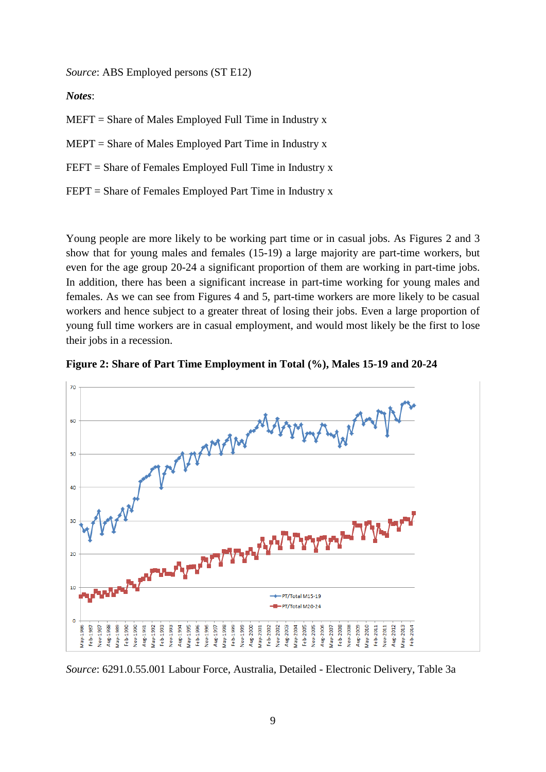*Source*: ABS Employed persons (ST E12)

*Notes*:

 $MEFT =$  Share of Males Employed Full Time in Industry x

 $MEPT =$  Share of Males Employed Part Time in Industry x

FEFT = Share of Females Employed Full Time in Industry x

FEPT = Share of Females Employed Part Time in Industry x

Young people are more likely to be working part time or in casual jobs. As Figures 2 and 3 show that for young males and females (15-19) a large majority are part-time workers, but even for the age group 20-24 a significant proportion of them are working in part-time jobs. In addition, there has been a significant increase in part-time working for young males and females. As we can see from Figures 4 and 5, part-time workers are more likely to be casual workers and hence subject to a greater threat of losing their jobs. Even a large proportion of young full time workers are in casual employment, and would most likely be the first to lose their jobs in a recession.





*Source*: 6291.0.55.001 Labour Force, Australia, Detailed - Electronic Delivery, Table 3a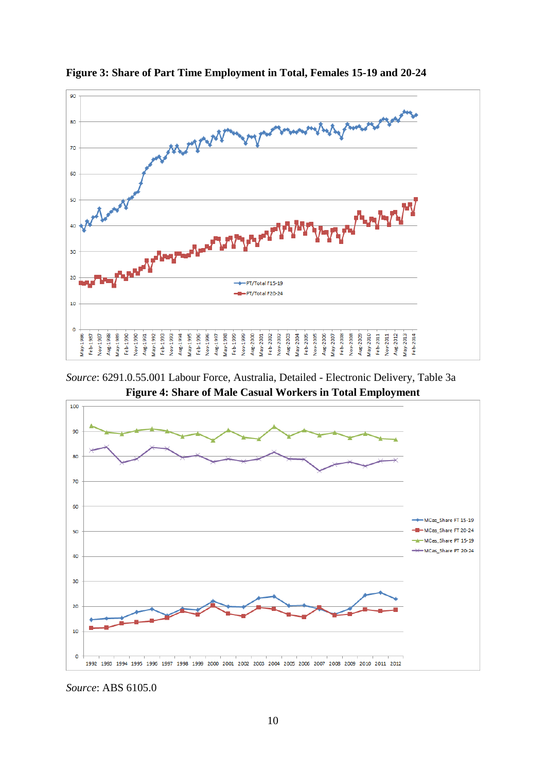

**Figure 3: Share of Part Time Employment in Total, Females 15-19 and 20-24**

*Source*: 6291.0.55.001 Labour Force, Australia, Detailed - Electronic Delivery, Table 3a **Figure 4: Share of Male Casual Workers in Total Employment**



*Source*: ABS 6105.0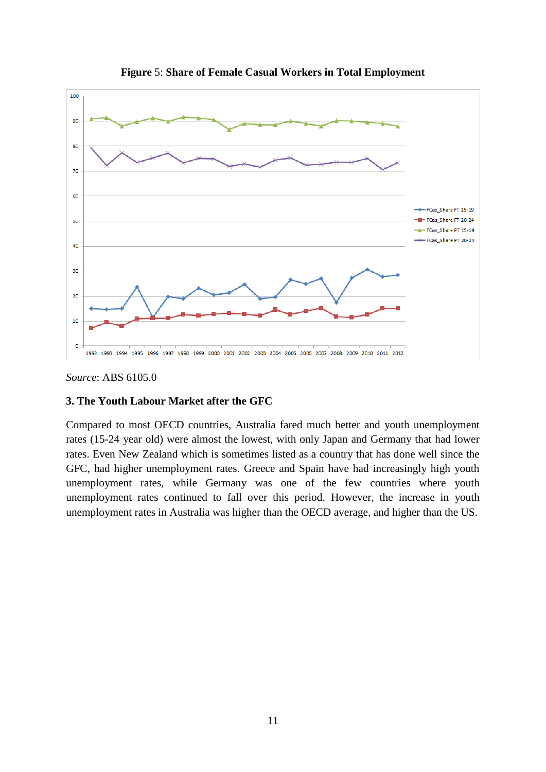

**Figure** 5: **Share of Female Casual Workers in Total Employment**

#### *Source*: ABS 6105.0

#### **3. The Youth Labour Market after the GFC**

Compared to most OECD countries, Australia fared much better and youth unemployment rates (15-24 year old) were almost the lowest, with only Japan and Germany that had lower rates. Even New Zealand which is sometimes listed as a country that has done well since the GFC, had higher unemployment rates. Greece and Spain have had increasingly high youth unemployment rates, while Germany was one of the few countries where youth unemployment rates continued to fall over this period. However, the increase in youth unemployment rates in Australia was higher than the OECD average, and higher than the US.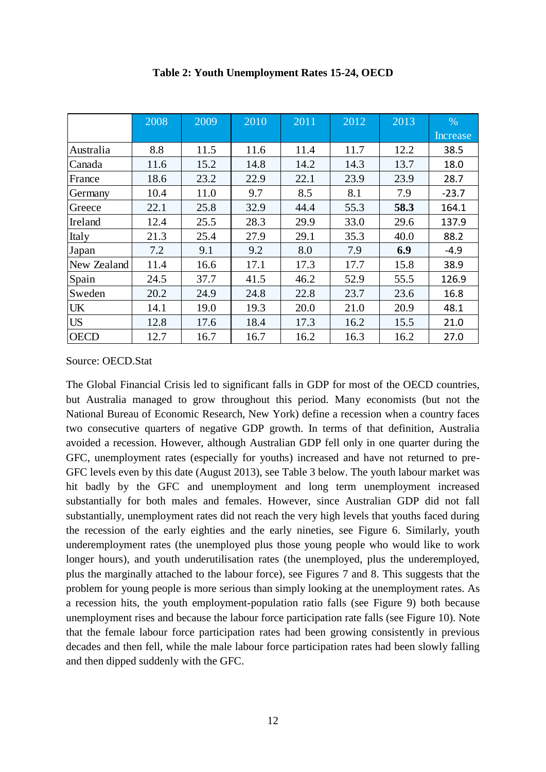|             | 2008 | 2009 | 2010 | 2011 | 2012 | 2013 | $\%$     |
|-------------|------|------|------|------|------|------|----------|
|             |      |      |      |      |      |      | Increase |
| Australia   | 8.8  | 11.5 | 11.6 | 11.4 | 11.7 | 12.2 | 38.5     |
| Canada      | 11.6 | 15.2 | 14.8 | 14.2 | 14.3 | 13.7 | 18.0     |
| France      | 18.6 | 23.2 | 22.9 | 22.1 | 23.9 | 23.9 | 28.7     |
| Germany     | 10.4 | 11.0 | 9.7  | 8.5  | 8.1  | 7.9  | $-23.7$  |
| Greece      | 22.1 | 25.8 | 32.9 | 44.4 | 55.3 | 58.3 | 164.1    |
| Ireland     | 12.4 | 25.5 | 28.3 | 29.9 | 33.0 | 29.6 | 137.9    |
| Italy       | 21.3 | 25.4 | 27.9 | 29.1 | 35.3 | 40.0 | 88.2     |
| Japan       | 7.2  | 9.1  | 9.2  | 8.0  | 7.9  | 6.9  | $-4.9$   |
| New Zealand | 11.4 | 16.6 | 17.1 | 17.3 | 17.7 | 15.8 | 38.9     |
| Spain       | 24.5 | 37.7 | 41.5 | 46.2 | 52.9 | 55.5 | 126.9    |
| Sweden      | 20.2 | 24.9 | 24.8 | 22.8 | 23.7 | 23.6 | 16.8     |
| <b>UK</b>   | 14.1 | 19.0 | 19.3 | 20.0 | 21.0 | 20.9 | 48.1     |
| <b>US</b>   | 12.8 | 17.6 | 18.4 | 17.3 | 16.2 | 15.5 | 21.0     |
| <b>OECD</b> | 12.7 | 16.7 | 16.7 | 16.2 | 16.3 | 16.2 | 27.0     |

#### **Table 2: Youth Unemployment Rates 15-24, OECD**

#### Source: OECD.Stat

The Global Financial Crisis led to significant falls in GDP for most of the OECD countries, but Australia managed to grow throughout this period. Many economists (but not the National Bureau of Economic Research, New York) define a recession when a country faces two consecutive quarters of negative GDP growth. In terms of that definition, Australia avoided a recession. However, although Australian GDP fell only in one quarter during the GFC, unemployment rates (especially for youths) increased and have not returned to pre-GFC levels even by this date (August 2013), see Table 3 below. The youth labour market was hit badly by the GFC and unemployment and long term unemployment increased substantially for both males and females. However, since Australian GDP did not fall substantially, unemployment rates did not reach the very high levels that youths faced during the recession of the early eighties and the early nineties, see Figure 6. Similarly, youth underemployment rates (the unemployed plus those young people who would like to work longer hours), and youth underutilisation rates (the unemployed, plus the underemployed, plus the marginally attached to the labour force), see Figures 7 and 8. This suggests that the problem for young people is more serious than simply looking at the unemployment rates. As a recession hits, the youth employment-population ratio falls (see Figure 9) both because unemployment rises and because the labour force participation rate falls (see Figure 10). Note that the female labour force participation rates had been growing consistently in previous decades and then fell, while the male labour force participation rates had been slowly falling and then dipped suddenly with the GFC.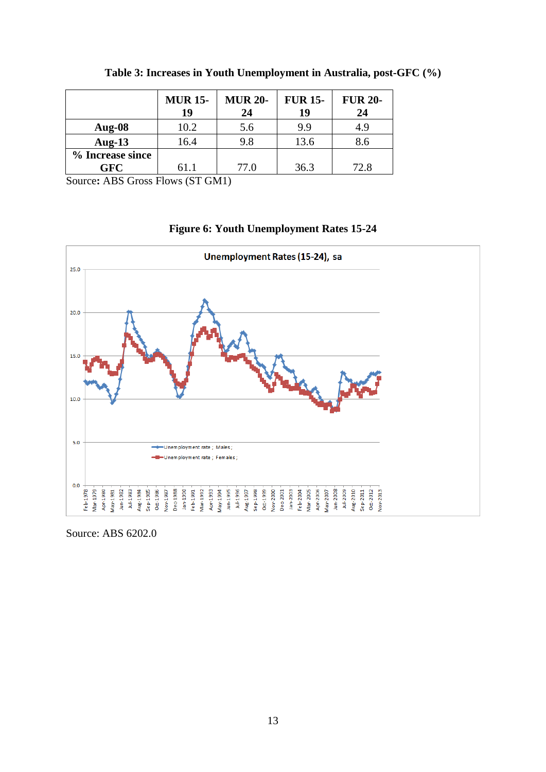|                                                                 | <b>MUR 15-</b><br>19 | <b>MUR 20-</b><br>24 | <b>FUR 15-</b><br>19 | <b>FUR 20-</b><br>24 |  |  |
|-----------------------------------------------------------------|----------------------|----------------------|----------------------|----------------------|--|--|
| Aug- $08$                                                       | 10.2                 | 5.6                  | 9.9                  | 4.9                  |  |  |
| Aug-13                                                          | 16.4                 | 9.8                  | 13.6                 | 8.6                  |  |  |
| % Increase since                                                |                      |                      |                      |                      |  |  |
| <b>GFC</b>                                                      | 61.1                 | 77.0                 | 36.3                 | 72.8                 |  |  |
| $\blacksquare$<br>$\sim$<br>(0.000, 0.000, 0.000)<br>$\sqrt{2}$ |                      |                      |                      |                      |  |  |

**Table 3: Increases in Youth Unemployment in Australia, post-GFC (%)**

Source**:** ABS Gross Flows (ST GM1)

#### **Figure 6: Youth Unemployment Rates 15-24**



Source: ABS 6202.0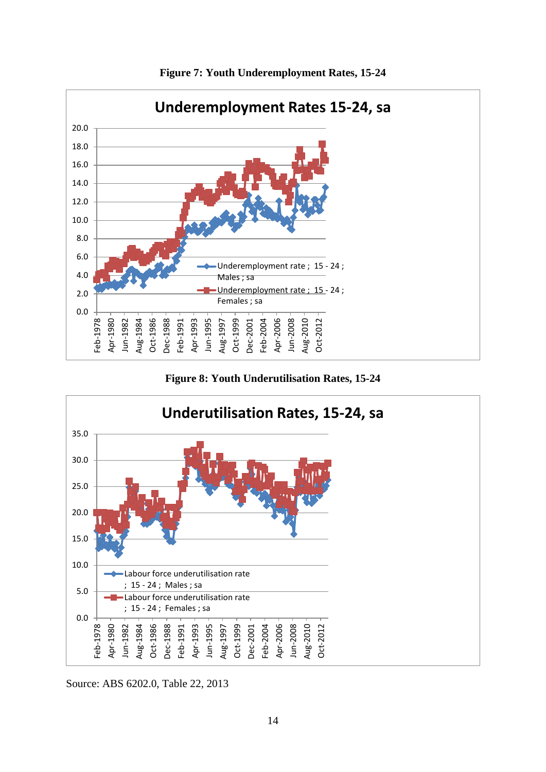

**Figure 7: Youth Underemployment Rates, 15-24**

**Figure 8: Youth Underutilisation Rates, 15-24**



Source: ABS 6202.0, Table 22, 2013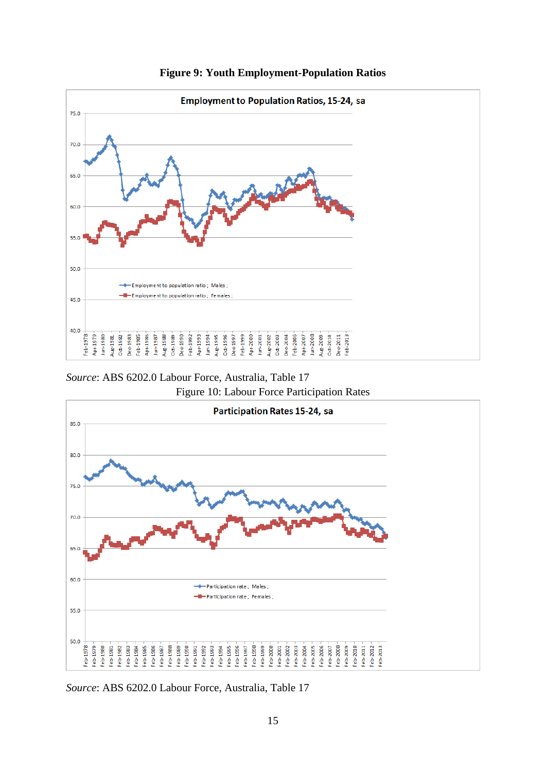

**Figure 9: Youth Employment-Population Ratios**

*Source*: ABS 6202.0 Labour Force, Australia, Table 17

Figure 10: Labour Force Participation Rates



*Source*: ABS 6202.0 Labour Force, Australia, Table 17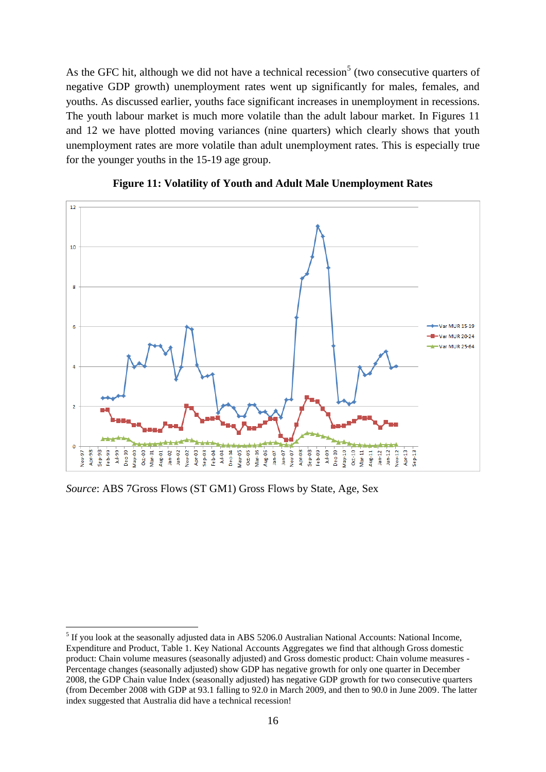As the GFC hit, although we did not have a technical recession<sup>5</sup> (two consecutive quarters of negative GDP growth) unemployment rates went up significantly for males, females, and youths. As discussed earlier, youths face significant increases in unemployment in recessions. The youth labour market is much more volatile than the adult labour market. In Figures 11 and 12 we have plotted moving variances (nine quarters) which clearly shows that youth unemployment rates are more volatile than adult unemployment rates. This is especially true for the younger youths in the 15-19 age group.





*Source*: ABS 7Gross Flows (ST GM1) Gross Flows by State, Age, Sex

1

<sup>&</sup>lt;sup>5</sup> If you look at the seasonally adjusted data in ABS 5206.0 Australian National Accounts: National Income, Expenditure and Product, Table 1. Key National Accounts Aggregates we find that although Gross domestic product: Chain volume measures (seasonally adjusted) and Gross domestic product: Chain volume measures - Percentage changes (seasonally adjusted) show GDP has negative growth for only one quarter in December 2008, the GDP Chain value Index (seasonally adjusted) has negative GDP growth for two consecutive quarters (from December 2008 with GDP at 93.1 falling to 92.0 in March 2009, and then to 90.0 in June 2009. The latter index suggested that Australia did have a technical recession!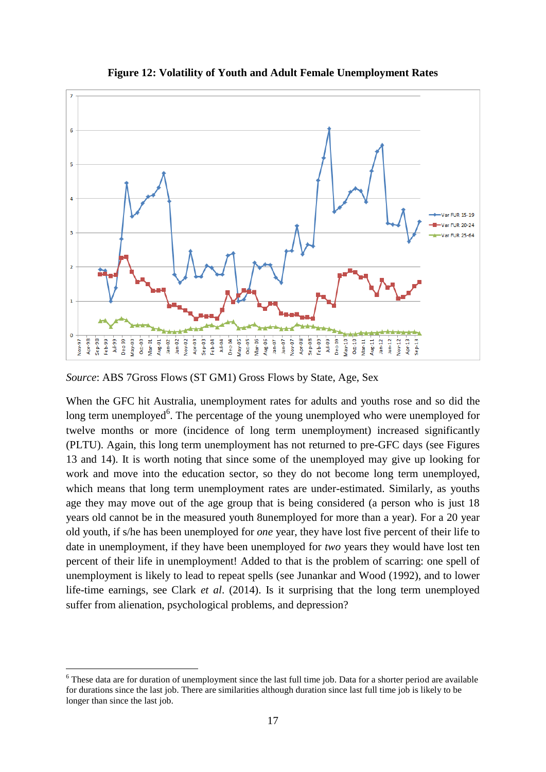

**Figure 12: Volatility of Youth and Adult Female Unemployment Rates**

*Source*: ABS 7Gross Flows (ST GM1) Gross Flows by State, Age, Sex

When the GFC hit Australia, unemployment rates for adults and youths rose and so did the long term unemployed<sup>6</sup>. The percentage of the young unemployed who were unemployed for twelve months or more (incidence of long term unemployment) increased significantly (PLTU). Again, this long term unemployment has not returned to pre-GFC days (see Figures 13 and 14). It is worth noting that since some of the unemployed may give up looking for work and move into the education sector, so they do not become long term unemployed, which means that long term unemployment rates are under-estimated. Similarly, as youths age they may move out of the age group that is being considered (a person who is just 18 years old cannot be in the measured youth 8unemployed for more than a year). For a 20 year old youth, if s/he has been unemployed for *one* year, they have lost five percent of their life to date in unemployment, if they have been unemployed for *two* years they would have lost ten percent of their life in unemployment! Added to that is the problem of scarring: one spell of unemployment is likely to lead to repeat spells (see Junankar and Wood (1992), and to lower life-time earnings, see Clark *et al*. (2014). Is it surprising that the long term unemployed suffer from alienation, psychological problems, and depression?

<u>.</u>

<sup>&</sup>lt;sup>6</sup> These data are for duration of unemployment since the last full time job. Data for a shorter period are available for durations since the last job. There are similarities although duration since last full time job is likely to be longer than since the last job.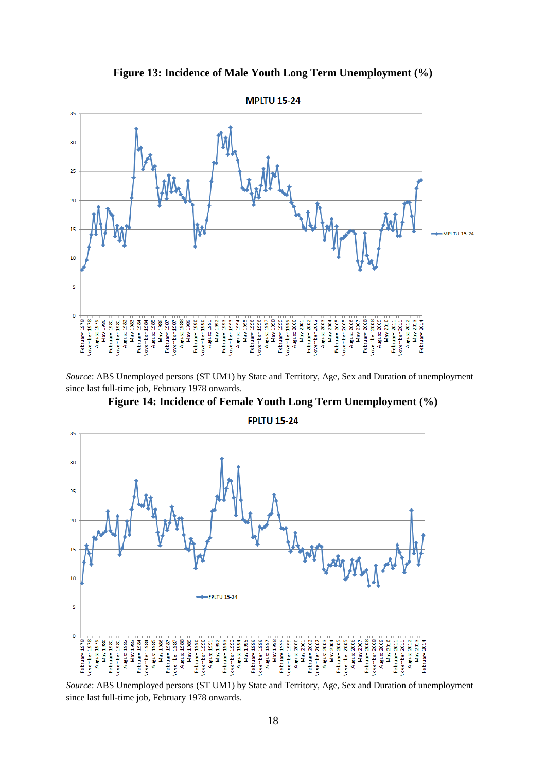

**Figure 13: Incidence of Male Youth Long Term Unemployment (%)**

*Source*: ABS Unemployed persons (ST UM1) by State and Territory, Age, Sex and Duration of unemployment since last full-time job, February 1978 onwards.



**Figure 14: Incidence of Female Youth Long Term Unemployment (%)**

*Source*: ABS Unemployed persons (ST UM1) by State and Territory, Age, Sex and Duration of unemployment since last full-time job, February 1978 onwards.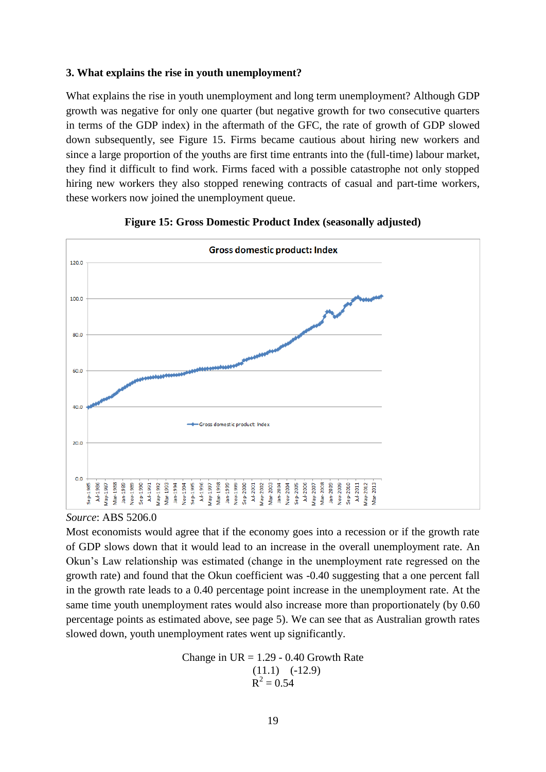#### **3. What explains the rise in youth unemployment?**

What explains the rise in youth unemployment and long term unemployment? Although GDP growth was negative for only one quarter (but negative growth for two consecutive quarters in terms of the GDP index) in the aftermath of the GFC, the rate of growth of GDP slowed down subsequently, see Figure 15. Firms became cautious about hiring new workers and since a large proportion of the youths are first time entrants into the (full-time) labour market, they find it difficult to find work. Firms faced with a possible catastrophe not only stopped hiring new workers they also stopped renewing contracts of casual and part-time workers, these workers now joined the unemployment queue.





*Source*: ABS 5206.0

Most economists would agree that if the economy goes into a recession or if the growth rate of GDP slows down that it would lead to an increase in the overall unemployment rate. An Okun's Law relationship was estimated (change in the unemployment rate regressed on the growth rate) and found that the Okun coefficient was -0.40 suggesting that a one percent fall in the growth rate leads to a 0.40 percentage point increase in the unemployment rate. At the same time youth unemployment rates would also increase more than proportionately (by 0.60 percentage points as estimated above, see page 5). We can see that as Australian growth rates slowed down, youth unemployment rates went up significantly.

> Change in  $UR = 1.29 - 0.40$  Growth Rate  $(11.1)$   $(-12.9)$  $R^2 = 0.54$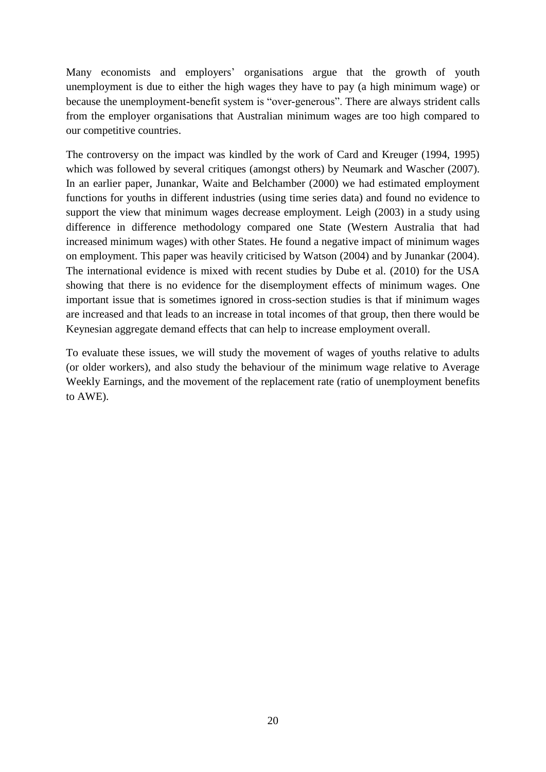Many economists and employers' organisations argue that the growth of youth unemployment is due to either the high wages they have to pay (a high minimum wage) or because the unemployment-benefit system is "over-generous". There are always strident calls from the employer organisations that Australian minimum wages are too high compared to our competitive countries.

The controversy on the impact was kindled by the work of Card and Kreuger (1994, 1995) which was followed by several critiques (amongst others) by Neumark and Wascher (2007). In an earlier paper, Junankar, Waite and Belchamber (2000) we had estimated employment functions for youths in different industries (using time series data) and found no evidence to support the view that minimum wages decrease employment. Leigh (2003) in a study using difference in difference methodology compared one State (Western Australia that had increased minimum wages) with other States. He found a negative impact of minimum wages on employment. This paper was heavily criticised by Watson (2004) and by Junankar (2004). The international evidence is mixed with recent studies by Dube et al. (2010) for the USA showing that there is no evidence for the disemployment effects of minimum wages. One important issue that is sometimes ignored in cross-section studies is that if minimum wages are increased and that leads to an increase in total incomes of that group, then there would be Keynesian aggregate demand effects that can help to increase employment overall.

To evaluate these issues, we will study the movement of wages of youths relative to adults (or older workers), and also study the behaviour of the minimum wage relative to Average Weekly Earnings, and the movement of the replacement rate (ratio of unemployment benefits to AWE).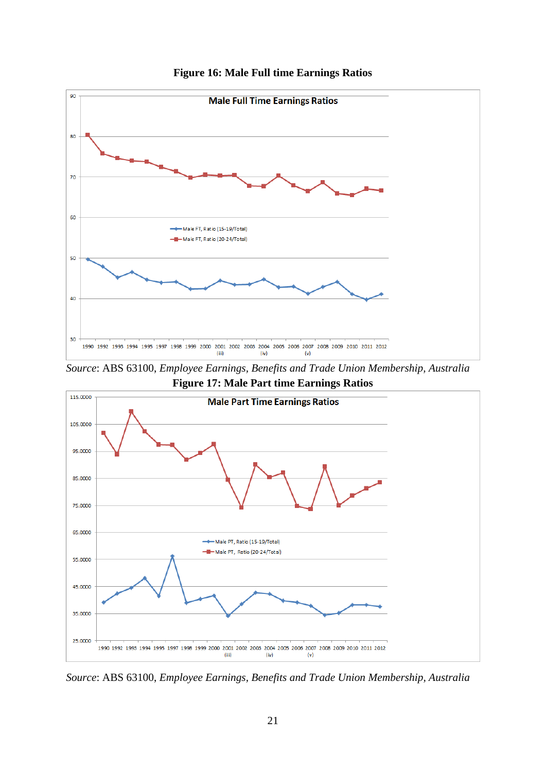

**Figure 16: Male Full time Earnings Ratios**

*Source*: ABS 63100, *Employee Earnings, Benefits and Trade Union Membership, Australia* **Figure 17: Male Part time Earnings Ratios**



*Source*: ABS 63100, *Employee Earnings, Benefits and Trade Union Membership, Australia*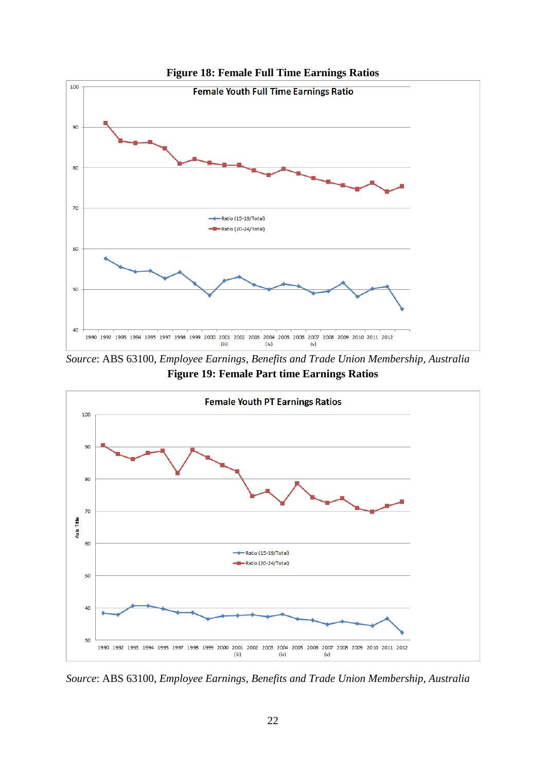

**Figure 18: Female Full Time Earnings Ratios**

*Source*: ABS 63100, *Employee Earnings, Benefits and Trade Union Membership, Australia* **Figure 19: Female Part time Earnings Ratios**



*Source*: ABS 63100, *Employee Earnings, Benefits and Trade Union Membership, Australia*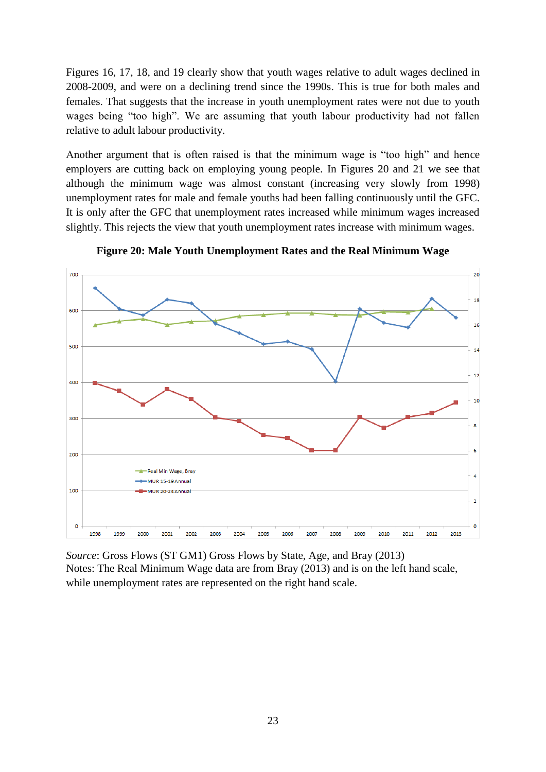Figures 16, 17, 18, and 19 clearly show that youth wages relative to adult wages declined in 2008-2009, and were on a declining trend since the 1990s. This is true for both males and females. That suggests that the increase in youth unemployment rates were not due to youth wages being "too high". We are assuming that youth labour productivity had not fallen relative to adult labour productivity.

Another argument that is often raised is that the minimum wage is "too high" and hence employers are cutting back on employing young people. In Figures 20 and 21 we see that although the minimum wage was almost constant (increasing very slowly from 1998) unemployment rates for male and female youths had been falling continuously until the GFC. It is only after the GFC that unemployment rates increased while minimum wages increased slightly. This rejects the view that youth unemployment rates increase with minimum wages.



**Figure 20: Male Youth Unemployment Rates and the Real Minimum Wage**

*Source*: Gross Flows (ST GM1) Gross Flows by State, Age, and Bray (2013) Notes: The Real Minimum Wage data are from Bray (2013) and is on the left hand scale, while unemployment rates are represented on the right hand scale.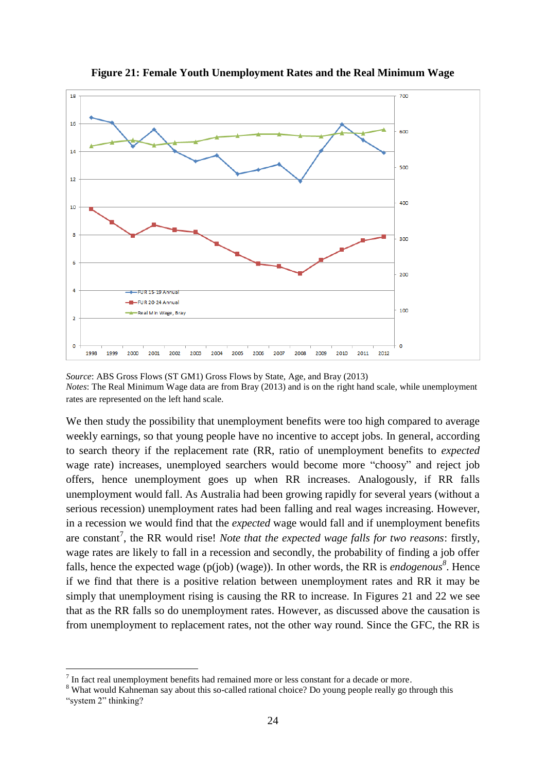

**Figure 21: Female Youth Unemployment Rates and the Real Minimum Wage**

We then study the possibility that unemployment benefits were too high compared to average weekly earnings, so that young people have no incentive to accept jobs. In general, according to search theory if the replacement rate (RR, ratio of unemployment benefits to *expected* wage rate) increases, unemployed searchers would become more "choosy" and reject job offers, hence unemployment goes up when RR increases. Analogously, if RR falls unemployment would fall. As Australia had been growing rapidly for several years (without a serious recession) unemployment rates had been falling and real wages increasing. However, in a recession we would find that the *expected* wage would fall and if unemployment benefits are constant<sup>7</sup>, the RR would rise! *Note that the expected wage falls for two reasons*: firstly, wage rates are likely to fall in a recession and secondly, the probability of finding a job offer falls, hence the expected wage (p(job) (wage)). In other words, the RR is *endogenous<sup>8</sup>* . Hence if we find that there is a positive relation between unemployment rates and RR it may be simply that unemployment rising is causing the RR to increase. In Figures 21 and 22 we see that as the RR falls so do unemployment rates. However, as discussed above the causation is from unemployment to replacement rates, not the other way round. Since the GFC, the RR is

<u>.</u>

*Source*: ABS Gross Flows (ST GM1) Gross Flows by State, Age, and Bray (2013) *Notes*: The Real Minimum Wage data are from Bray (2013) and is on the right hand scale, while unemployment rates are represented on the left hand scale.

 $<sup>7</sup>$  In fact real unemployment benefits had remained more or less constant for a decade or more.</sup>

<sup>&</sup>lt;sup>8</sup> What would Kahneman say about this so-called rational choice? Do young people really go through this "system 2" thinking?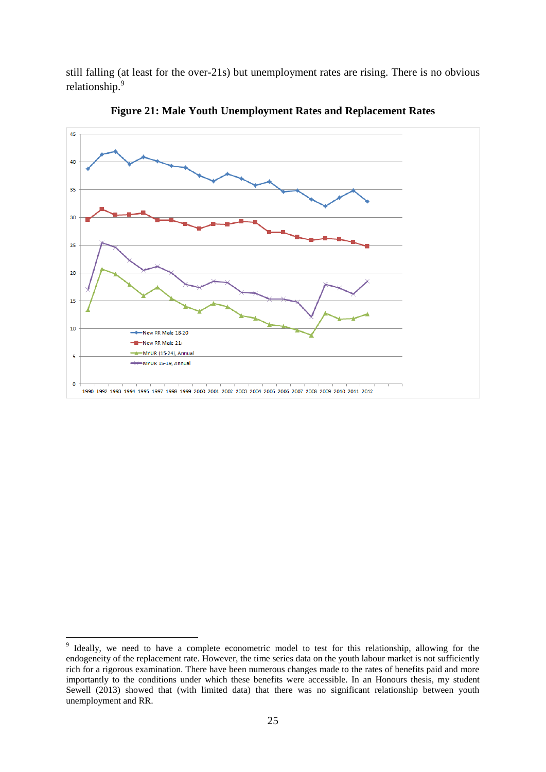still falling (at least for the over-21s) but unemployment rates are rising. There is no obvious relationship.<sup>9</sup>



**Figure 21: Male Youth Unemployment Rates and Replacement Rates**

<sup>-&</sup>lt;br>9 Ideally, we need to have a complete econometric model to test for this relationship, allowing for the endogeneity of the replacement rate. However, the time series data on the youth labour market is not sufficiently rich for a rigorous examination. There have been numerous changes made to the rates of benefits paid and more importantly to the conditions under which these benefits were accessible. In an Honours thesis, my student Sewell (2013) showed that (with limited data) that there was no significant relationship between youth unemployment and RR.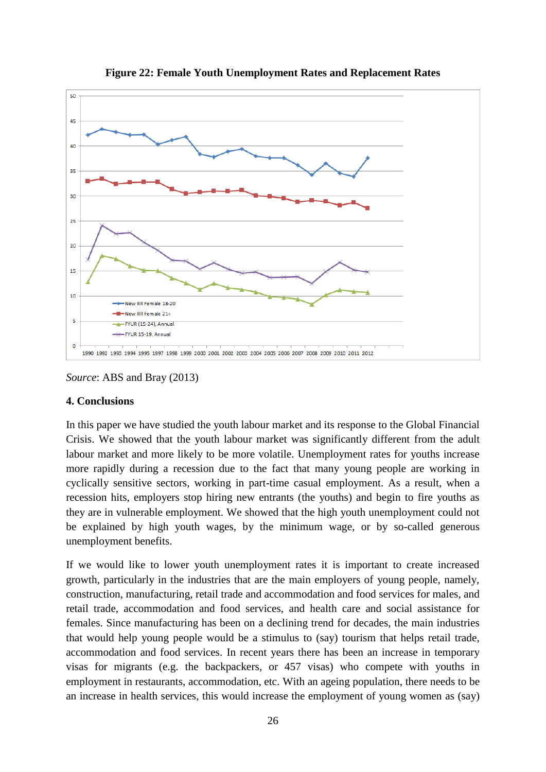

**Figure 22: Female Youth Unemployment Rates and Replacement Rates**

*Source*: ABS and Bray (2013)

#### **4. Conclusions**

In this paper we have studied the youth labour market and its response to the Global Financial Crisis. We showed that the youth labour market was significantly different from the adult labour market and more likely to be more volatile. Unemployment rates for youths increase more rapidly during a recession due to the fact that many young people are working in cyclically sensitive sectors, working in part-time casual employment. As a result, when a recession hits, employers stop hiring new entrants (the youths) and begin to fire youths as they are in vulnerable employment. We showed that the high youth unemployment could not be explained by high youth wages, by the minimum wage, or by so-called generous unemployment benefits.

If we would like to lower youth unemployment rates it is important to create increased growth, particularly in the industries that are the main employers of young people, namely, construction, manufacturing, retail trade and accommodation and food services for males, and retail trade, accommodation and food services, and health care and social assistance for females. Since manufacturing has been on a declining trend for decades, the main industries that would help young people would be a stimulus to (say) tourism that helps retail trade, accommodation and food services. In recent years there has been an increase in temporary visas for migrants (e.g. the backpackers, or 457 visas) who compete with youths in employment in restaurants, accommodation, etc. With an ageing population, there needs to be an increase in health services, this would increase the employment of young women as (say)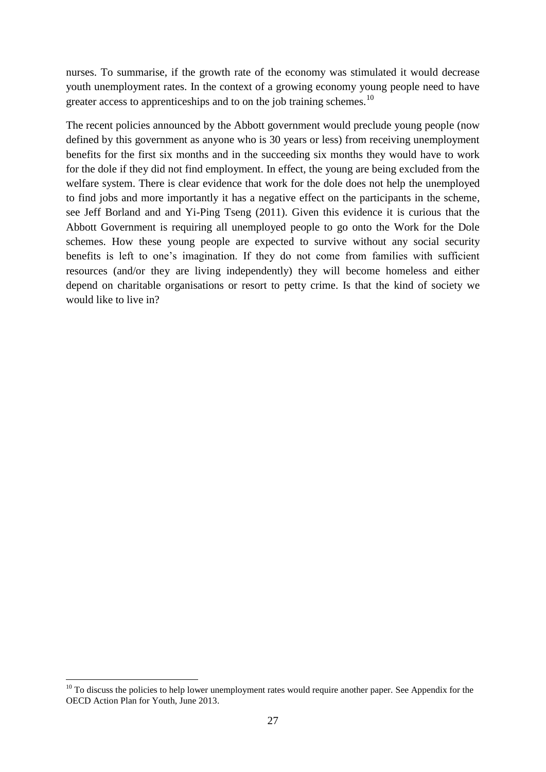nurses. To summarise, if the growth rate of the economy was stimulated it would decrease youth unemployment rates. In the context of a growing economy young people need to have greater access to apprenticeships and to on the job training schemes.<sup>10</sup>

The recent policies announced by the Abbott government would preclude young people (now defined by this government as anyone who is 30 years or less) from receiving unemployment benefits for the first six months and in the succeeding six months they would have to work for the dole if they did not find employment. In effect, the young are being excluded from the welfare system. There is clear evidence that work for the dole does not help the unemployed to find jobs and more importantly it has a negative effect on the participants in the scheme, see Jeff Borland and and Yi-Ping Tseng (2011). Given this evidence it is curious that the Abbott Government is requiring all unemployed people to go onto the Work for the Dole schemes. How these young people are expected to survive without any social security benefits is left to one's imagination. If they do not come from families with sufficient resources (and/or they are living independently) they will become homeless and either depend on charitable organisations or resort to petty crime. Is that the kind of society we would like to live in?

1

 $10$  To discuss the policies to help lower unemployment rates would require another paper. See Appendix for the OECD Action Plan for Youth, June 2013.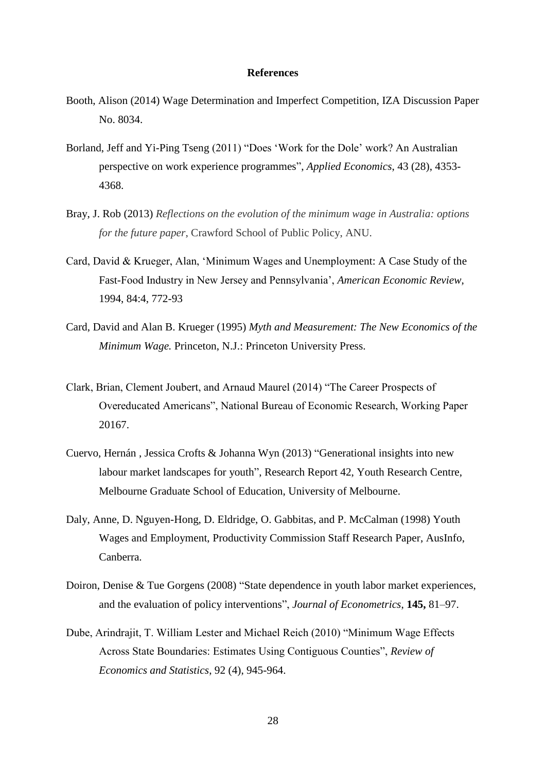#### **References**

- Booth, Alison (2014) Wage Determination and Imperfect Competition, IZA Discussion Paper No. 8034.
- Borland, Jeff and Yi-Ping Tseng (2011) "Does 'Work for the Dole' work? An Australian perspective on work experience programmes", *Applied Economics*, 43 (28), 4353- 4368.
- Bray, J. Rob (2013) *Reflections on the evolution of the minimum wage in Australia: options for the future paper*, Crawford School of Public Policy, ANU.
- Card, David & Krueger, Alan, 'Minimum Wages and Unemployment: A Case Study of the Fast-Food Industry in New Jersey and Pennsylvania', *American Economic Review*, 1994, 84:4, 772-93
- Card, David and Alan B. Krueger (1995) *Myth and Measurement: The New Economics of the Minimum Wage.* Princeton, N.J.: Princeton University Press.
- Clark, Brian, Clement Joubert, and Arnaud Maurel (2014) "The Career Prospects of Overeducated Americans", National Bureau of Economic Research, Working Paper 20167.
- Cuervo, Hernán , Jessica Crofts & Johanna Wyn (2013) "Generational insights into new labour market landscapes for youth", Research Report 42, Youth Research Centre, Melbourne Graduate School of Education, University of Melbourne.
- Daly, Anne, D. Nguyen-Hong, D. Eldridge, O. Gabbitas, and P. McCalman (1998) Youth Wages and Employment, Productivity Commission Staff Research Paper, AusInfo, Canberra.
- Doiron, Denise & Tue Gorgens (2008) "State dependence in youth labor market experiences, and the evaluation of policy interventions", *Journal of Econometrics*, **145,** 81–97.
- Dube, Arindrajit, T. William Lester and Michael Reich (2010) "Minimum Wage Effects Across State Boundaries: Estimates Using Contiguous Counties", *Review of Economics and Statistics*, 92 (4), 945-964.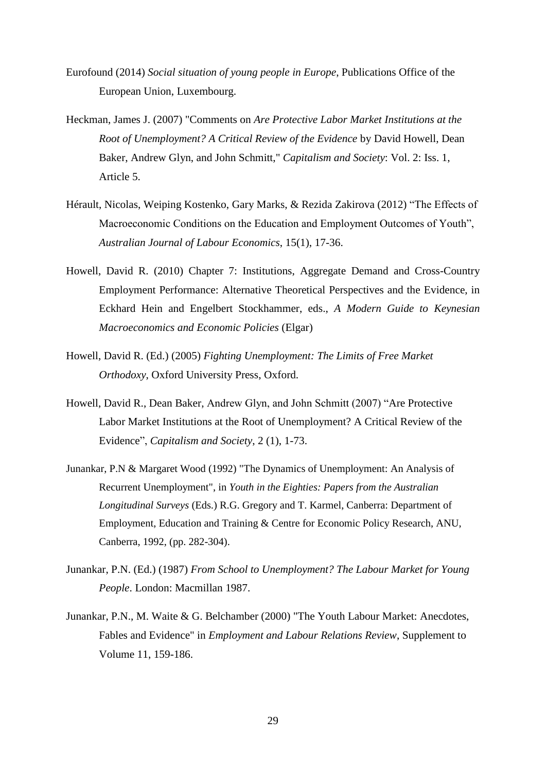- Eurofound (2014) *Social situation of young people in Europe*, Publications Office of the European Union, Luxembourg.
- Heckman, James J. (2007) "Comments on *Are Protective Labor Market Institutions at the Root of Unemployment? A Critical Review of the Evidence* by David Howell, Dean Baker, Andrew Glyn, and John Schmitt," *Capitalism and Society*: Vol. 2: Iss. 1, Article 5.
- Hérault, Nicolas, Weiping Kostenko, Gary Marks, & Rezida Zakirova (2012) "The Effects of Macroeconomic Conditions on the Education and Employment Outcomes of Youth", *Australian Journal of Labour Economics*, 15(1), 17-36.
- Howell, David R. (2010) Chapter 7: Institutions, Aggregate Demand and Cross-Country Employment Performance: Alternative Theoretical Perspectives and the Evidence, in Eckhard Hein and Engelbert Stockhammer, eds., *A Modern Guide to Keynesian Macroeconomics and Economic Policies* (Elgar)
- Howell, David R. (Ed.) (2005) *Fighting Unemployment: The Limits of Free Market Orthodoxy*, Oxford University Press, Oxford.
- Howell, David R., Dean Baker, Andrew Glyn, and John Schmitt (2007) "Are Protective Labor Market Institutions at the Root of Unemployment? A Critical Review of the Evidence", *Capitalism and Society*, 2 (1), 1-73.
- Junankar, P.N & Margaret Wood (1992) "The Dynamics of Unemployment: An Analysis of Recurrent Unemployment", in *Youth in the Eighties: Papers from the Australian Longitudinal Surveys* (Eds.) R.G. Gregory and T. Karmel, Canberra: Department of Employment, Education and Training & Centre for Economic Policy Research, ANU, Canberra, 1992, (pp. 282-304).
- Junankar, P.N. (Ed.) (1987) *From School to Unemployment? The Labour Market for Young People*. London: Macmillan 1987.
- Junankar, P.N., M. Waite & G. Belchamber (2000) "The Youth Labour Market: Anecdotes, Fables and Evidence" in *Employment and Labour Relations Review*, Supplement to Volume 11, 159-186.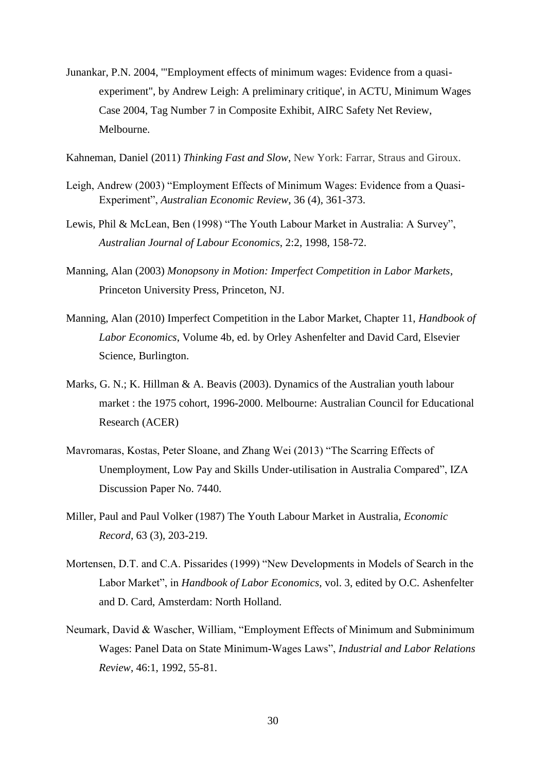- Junankar, P.N. 2004, '"Employment effects of minimum wages: Evidence from a quasiexperiment", by Andrew Leigh: A preliminary critique', in ACTU, Minimum Wages Case 2004, Tag Number 7 in Composite Exhibit, AIRC Safety Net Review, Melbourne.
- Kahneman, Daniel (2011) *Thinking Fast and Slow*, New York: Farrar, Straus and Giroux.
- Leigh, Andrew (2003) "Employment Effects of Minimum Wages: Evidence from a Quasi-Experiment", *Australian Economic Review*, 36 (4), 361-373.
- Lewis, Phil & McLean, Ben (1998) "The Youth Labour Market in Australia: A Survey", *Australian Journal of Labour Economics*, 2:2, 1998, 158-72.
- Manning, Alan (2003) *Monopsony in Motion: Imperfect Competition in Labor Markets*, Princeton University Press, Princeton, NJ.
- Manning, Alan (2010) Imperfect Competition in the Labor Market, Chapter 11, *Handbook of Labor Economics*, Volume 4b, ed. by Orley Ashenfelter and David Card, Elsevier Science, Burlington.
- Marks, G. N.; K. Hillman & A. Beavis (2003). Dynamics of the Australian youth labour market : the 1975 cohort, 1996-2000. Melbourne: Australian Council for Educational Research (ACER)
- Mavromaras, Kostas, Peter Sloane, and Zhang Wei (2013) "The Scarring Effects of Unemployment, Low Pay and Skills Under-utilisation in Australia Compared", IZA Discussion Paper No. 7440.
- Miller, Paul and Paul Volker (1987) The Youth Labour Market in Australia, *Economic Record*, 63 (3), 203-219.
- Mortensen, D.T. and C.A. Pissarides (1999) "New Developments in Models of Search in the Labor Market", in *Handbook of Labor Economics,* vol. 3, edited by O.C. Ashenfelter and D. Card, Amsterdam: North Holland.
- Neumark, David & Wascher, William, "Employment Effects of Minimum and Subminimum Wages: Panel Data on State Minimum-Wages Laws", *Industrial and Labor Relations Review*, 46:1, 1992, 55-81.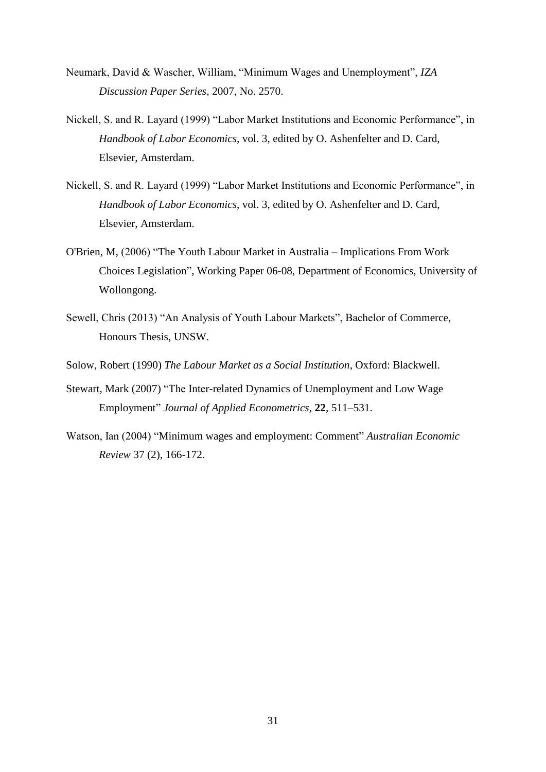- Neumark, David & Wascher, William, "Minimum Wages and Unemployment", *IZA Discussion Paper Series*, 2007, No. 2570.
- Nickell, S. and R. Layard (1999) "Labor Market Institutions and Economic Performance", in *Handbook of Labor Economics*, vol. 3, edited by O. Ashenfelter and D. Card, Elsevier, Amsterdam.
- Nickell, S. and R. Layard (1999) "Labor Market Institutions and Economic Performance", in *Handbook of Labor Economics*, vol. 3, edited by O. Ashenfelter and D. Card, Elsevier, Amsterdam.
- O'Brien, M, (2006) "The Youth Labour Market in Australia Implications From Work Choices Legislation", Working Paper 06-08, Department of Economics, University of Wollongong.
- Sewell, Chris (2013) "An Analysis of Youth Labour Markets", Bachelor of Commerce, Honours Thesis, UNSW.
- Solow, Robert (1990) *The Labour Market as a Social Institution*, Oxford: Blackwell.
- Stewart, Mark (2007) "The Inter-related Dynamics of Unemployment and Low Wage Employment" *Journal of Applied Econometrics,* **22**, 511–531.
- Watson, Ian (2004) "Minimum wages and employment: Comment" *Australian Economic Review* 37 (2), 166-172.